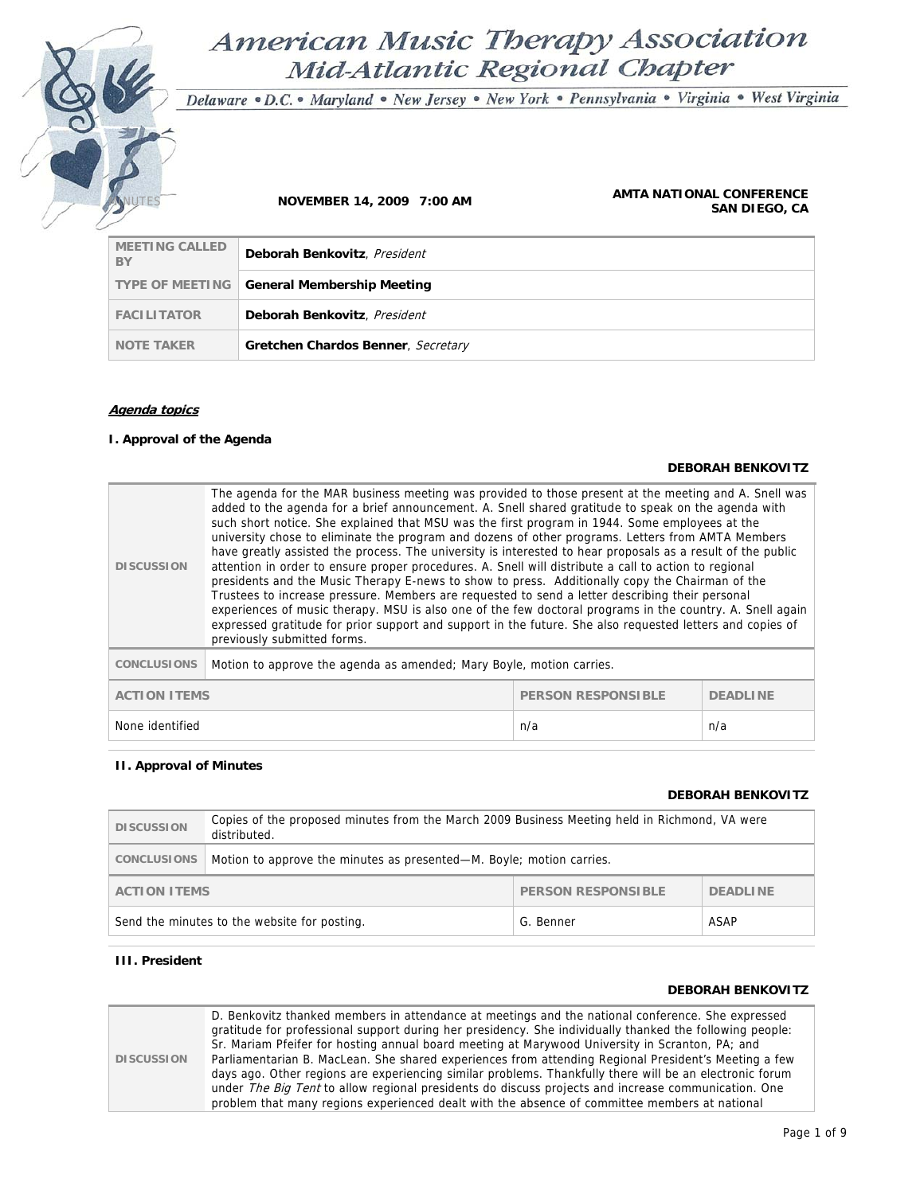# American Music Therapy Association Mid-Atlantic Regional Chapter

Delaware · D.C. · Maryland · New Jersey · New York · Pennsylvania · Virginia · West Virginia

#### **NOVEMBER 14, 2009 7:00 AM <b>AMTA NATIONAL CONFERENCE**<br>**AMTA NATIONAL CONFERENCE SAN DIEGO, CA**

| <b>MEETING CALLED</b><br>BY | Deborah Benkovitz, President                      |
|-----------------------------|---------------------------------------------------|
|                             | <b>TYPE OF MEETING General Membership Meeting</b> |
| <b>FACILITATOR</b>          | Deborah Benkovitz, President                      |
| <b>NOTE TAKER</b>           | Gretchen Chardos Benner, Secretary                |

#### **Agenda topics**

#### **I. Approval of the Agenda**

#### **DEBORAH BENKOVITZ**

| <b>DISCUSSION</b>                                                   | The agenda for the MAR business meeting was provided to those present at the meeting and A. Snell was<br>added to the agenda for a brief announcement. A. Snell shared gratitude to speak on the agenda with<br>such short notice. She explained that MSU was the first program in 1944. Some employees at the<br>university chose to eliminate the program and dozens of other programs. Letters from AMTA Members<br>have greatly assisted the process. The university is interested to hear proposals as a result of the public<br>attention in order to ensure proper procedures. A. Snell will distribute a call to action to regional<br>presidents and the Music Therapy E-news to show to press. Additionally copy the Chairman of the<br>Trustees to increase pressure. Members are requested to send a letter describing their personal<br>experiences of music therapy. MSU is also one of the few doctoral programs in the country. A. Snell again<br>expressed gratitude for prior support and support in the future. She also requested letters and copies of<br>previously submitted forms. |  |  |
|---------------------------------------------------------------------|------------------------------------------------------------------------------------------------------------------------------------------------------------------------------------------------------------------------------------------------------------------------------------------------------------------------------------------------------------------------------------------------------------------------------------------------------------------------------------------------------------------------------------------------------------------------------------------------------------------------------------------------------------------------------------------------------------------------------------------------------------------------------------------------------------------------------------------------------------------------------------------------------------------------------------------------------------------------------------------------------------------------------------------------------------------------------------------------------------|--|--|
| <b>CONCLUSIONS</b>                                                  | Motion to approve the agenda as amended; Mary Boyle, motion carries.                                                                                                                                                                                                                                                                                                                                                                                                                                                                                                                                                                                                                                                                                                                                                                                                                                                                                                                                                                                                                                       |  |  |
| <b>ACTION ITEMS</b><br><b>PERSON RESPONSIBLE</b><br><b>DEADLINE</b> |                                                                                                                                                                                                                                                                                                                                                                                                                                                                                                                                                                                                                                                                                                                                                                                                                                                                                                                                                                                                                                                                                                            |  |  |
| None identified<br>n/a<br>n/a                                       |                                                                                                                                                                                                                                                                                                                                                                                                                                                                                                                                                                                                                                                                                                                                                                                                                                                                                                                                                                                                                                                                                                            |  |  |

#### **II. Approval of Minutes**

### **DEBORAH BENKOVITZ**

| <b>DISCUSSION</b>                                                   | Copies of the proposed minutes from the March 2009 Business Meeting held in Richmond, VA were<br>distributed. |  |  |
|---------------------------------------------------------------------|---------------------------------------------------------------------------------------------------------------|--|--|
| <b>CONCLUSIONS</b>                                                  | Motion to approve the minutes as presented—M. Boyle; motion carries.                                          |  |  |
| <b>PERSON RESPONSIBLE</b><br><b>DEADLINE</b><br><b>ACTION ITEMS</b> |                                                                                                               |  |  |
| ASAP<br>Send the minutes to the website for posting.<br>G. Benner   |                                                                                                               |  |  |

#### **III. President**

#### **DEBORAH BENKOVITZ**

**DISCUSSION**  D. Benkovitz thanked members in attendance at meetings and the national conference. She expressed gratitude for professional support during her presidency. She individually thanked the following people: Sr. Mariam Pfeifer for hosting annual board meeting at Marywood University in Scranton, PA; and Parliamentarian B. MacLean. She shared experiences from attending Regional President's Meeting a few days ago. Other regions are experiencing similar problems. Thankfully there will be an electronic forum under The Big Tent to allow regional presidents do discuss projects and increase communication. One problem that many regions experienced dealt with the absence of committee members at national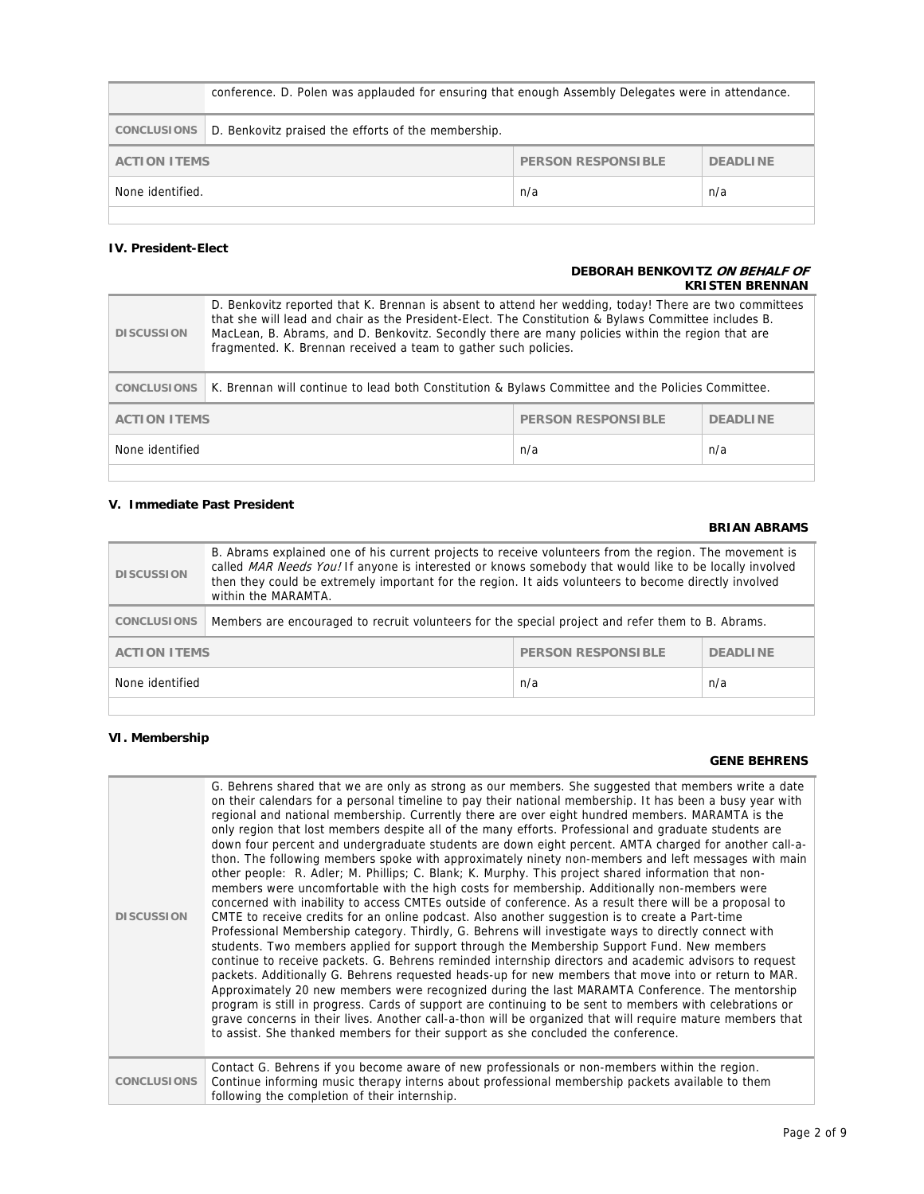|                                                              | conference. D. Polen was applauded for ensuring that enough Assembly Delegates were in attendance. |     |     |
|--------------------------------------------------------------|----------------------------------------------------------------------------------------------------|-----|-----|
| <b>CONCLUSIONS</b>                                           | D. Benkovitz praised the efforts of the membership.                                                |     |     |
| PERSON RESPONSIBLE<br><b>ACTION ITEMS</b><br><b>DEADLINE</b> |                                                                                                    |     |     |
| None identified.                                             |                                                                                                    | n/a | n/a |

#### **IV. President-Elect**

#### **DEBORAH BENKOVITZ ON BEHALF OF KRISTEN BRENNAN**

| <b>DISCUSSION</b>                                                   | D. Benkovitz reported that K. Brennan is absent to attend her wedding, today! There are two committees<br>that she will lead and chair as the President-Elect. The Constitution & Bylaws Committee includes B.<br>MacLean, B. Abrams, and D. Benkovitz. Secondly there are many policies within the region that are<br>fragmented. K. Brennan received a team to gather such policies. |     |     |
|---------------------------------------------------------------------|----------------------------------------------------------------------------------------------------------------------------------------------------------------------------------------------------------------------------------------------------------------------------------------------------------------------------------------------------------------------------------------|-----|-----|
| <b>CONCLUSIONS</b>                                                  | K. Brennan will continue to lead both Constitution & Bylaws Committee and the Policies Committee.                                                                                                                                                                                                                                                                                      |     |     |
| <b>PERSON RESPONSIBLE</b><br><b>ACTION ITEMS</b><br><b>DEADLINE</b> |                                                                                                                                                                                                                                                                                                                                                                                        |     |     |
| None identified                                                     |                                                                                                                                                                                                                                                                                                                                                                                        | n/a | n/a |
|                                                                     |                                                                                                                                                                                                                                                                                                                                                                                        |     |     |

#### **V. Immediate Past President**

## **BRIAN ABRAMS**

| <b>DISCUSSION</b>                                                   | B. Abrams explained one of his current projects to receive volunteers from the region. The movement is<br>called MAR Needs You! If anyone is interested or knows somebody that would like to be locally involved<br>then they could be extremely important for the region. It aids volunteers to become directly involved<br>within the MARAMTA. |     |     |
|---------------------------------------------------------------------|--------------------------------------------------------------------------------------------------------------------------------------------------------------------------------------------------------------------------------------------------------------------------------------------------------------------------------------------------|-----|-----|
| <b>CONCLUSIONS</b>                                                  | Members are encouraged to recruit volunteers for the special project and refer them to B. Abrams.                                                                                                                                                                                                                                                |     |     |
| <b>PERSON RESPONSIBLE</b><br><b>ACTION ITEMS</b><br><b>DEADLINE</b> |                                                                                                                                                                                                                                                                                                                                                  |     |     |
| None identified                                                     |                                                                                                                                                                                                                                                                                                                                                  | n/a | n/a |
|                                                                     |                                                                                                                                                                                                                                                                                                                                                  |     |     |

### **VI. Membership**

#### **GENE BEHRENS**

| <b>DISCUSSION</b>  | G. Behrens shared that we are only as strong as our members. She suggested that members write a date<br>on their calendars for a personal timeline to pay their national membership. It has been a busy year with<br>regional and national membership. Currently there are over eight hundred members. MARAMTA is the<br>only region that lost members despite all of the many efforts. Professional and graduate students are<br>down four percent and undergraduate students are down eight percent. AMTA charged for another call-a-<br>thon. The following members spoke with approximately ninety non-members and left messages with main<br>other people: R. Adler; M. Phillips; C. Blank; K. Murphy. This project shared information that non-<br>members were uncomfortable with the high costs for membership. Additionally non-members were<br>concerned with inability to access CMTEs outside of conference. As a result there will be a proposal to<br>CMTE to receive credits for an online podcast. Also another suggestion is to create a Part-time<br>Professional Membership category. Thirdly, G. Behrens will investigate ways to directly connect with<br>students. Two members applied for support through the Membership Support Fund. New members<br>continue to receive packets. G. Behrens reminded internship directors and academic advisors to request<br>packets. Additionally G. Behrens requested heads-up for new members that move into or return to MAR.<br>Approximately 20 new members were recognized during the last MARAMTA Conference. The mentorship<br>program is still in progress. Cards of support are continuing to be sent to members with celebrations or<br>grave concerns in their lives. Another call-a-thon will be organized that will require mature members that<br>to assist. She thanked members for their support as she concluded the conference. |
|--------------------|---------------------------------------------------------------------------------------------------------------------------------------------------------------------------------------------------------------------------------------------------------------------------------------------------------------------------------------------------------------------------------------------------------------------------------------------------------------------------------------------------------------------------------------------------------------------------------------------------------------------------------------------------------------------------------------------------------------------------------------------------------------------------------------------------------------------------------------------------------------------------------------------------------------------------------------------------------------------------------------------------------------------------------------------------------------------------------------------------------------------------------------------------------------------------------------------------------------------------------------------------------------------------------------------------------------------------------------------------------------------------------------------------------------------------------------------------------------------------------------------------------------------------------------------------------------------------------------------------------------------------------------------------------------------------------------------------------------------------------------------------------------------------------------------------------------------------------------------------------------------------------------------------------------|
| <b>CONCLUSIONS</b> | Contact G. Behrens if you become aware of new professionals or non-members within the region.<br>Continue informing music therapy interns about professional membership packets available to them<br>following the completion of their internship.                                                                                                                                                                                                                                                                                                                                                                                                                                                                                                                                                                                                                                                                                                                                                                                                                                                                                                                                                                                                                                                                                                                                                                                                                                                                                                                                                                                                                                                                                                                                                                                                                                                            |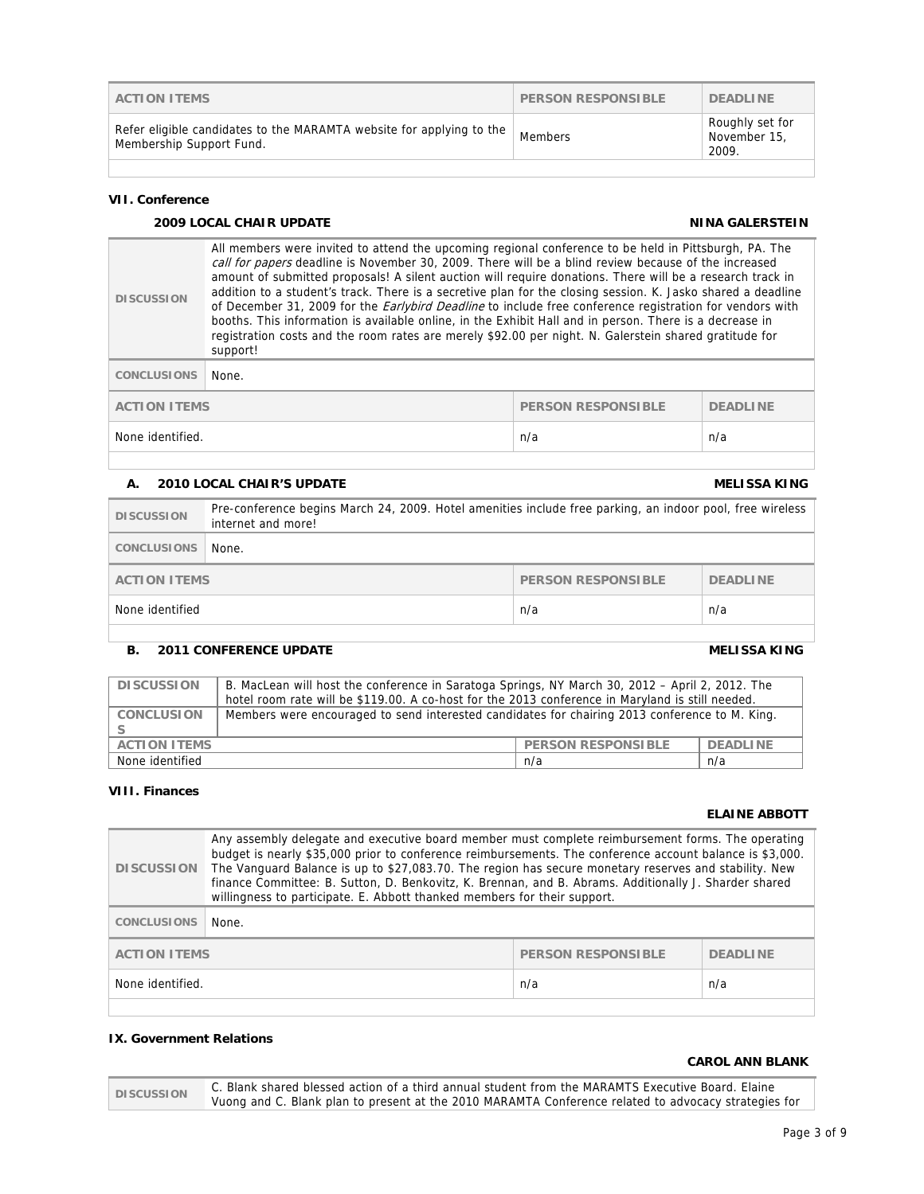|                   | <b>CAROL ANN BLANK</b>                                                                                                                                                                                    |
|-------------------|-----------------------------------------------------------------------------------------------------------------------------------------------------------------------------------------------------------|
| <b>DISCUSSION</b> | C. Blank shared blessed action of a third annual student from the MARAMTS Executive Board. Elaine<br>Vuong and C. Blank plan to present at the 2010 MARAMTA Conference related to advocacy strategies for |

| <b>ACTION ITEMS</b>                                                                              | PERSON RESPONSIBLE | <b>DEADLINE</b>                          |
|--------------------------------------------------------------------------------------------------|--------------------|------------------------------------------|
| Refer eligible candidates to the MARAMTA website for applying to the<br>Membership Support Fund. | Members            | Roughly set for<br>November 15,<br>2009. |

#### **VII. Conference**

## **2009 LOCAL CHAIR UPDATE NINA GALERSTEIN**

| <b>DISCUSSION</b>  | All members were invited to attend the upcoming regional conference to be held in Pittsburgh, PA. The<br>call for papers deadline is November 30, 2009. There will be a blind review because of the increased<br>amount of submitted proposals! A silent auction will require donations. There will be a research track in<br>addition to a student's track. There is a secretive plan for the closing session. K. Jasko shared a deadline<br>of December 31, 2009 for the <i>Earlybird Deadline</i> to include free conference registration for vendors with<br>booths. This information is available online, in the Exhibit Hall and in person. There is a decrease in<br>registration costs and the room rates are merely \$92.00 per night. N. Galerstein shared gratitude for<br>support! |  |  |
|--------------------|------------------------------------------------------------------------------------------------------------------------------------------------------------------------------------------------------------------------------------------------------------------------------------------------------------------------------------------------------------------------------------------------------------------------------------------------------------------------------------------------------------------------------------------------------------------------------------------------------------------------------------------------------------------------------------------------------------------------------------------------------------------------------------------------|--|--|
| <b>CONCLUSIONS</b> | None.                                                                                                                                                                                                                                                                                                                                                                                                                                                                                                                                                                                                                                                                                                                                                                                          |  |  |
| 000001 0000010101  |                                                                                                                                                                                                                                                                                                                                                                                                                                                                                                                                                                                                                                                                                                                                                                                                |  |  |

**ACTION ITEMS PERSON RESPONSIBLE PERSON RESPONSIBLE PERSON RESPONSIBLE** None identified. The next state of the state of the next state of the next state of the next state of the next state of the next state of the next state of the next state of the next state of the next state of the next sta

## **A. 2010 LOCAL CHAIR'S UPDATE MELISSA KING**

| Pre-conference begins March 24, 2009. Hotel amenities include free parking, an indoor pool, free wireless<br>internet and more! |  |  |
|---------------------------------------------------------------------------------------------------------------------------------|--|--|
|                                                                                                                                 |  |  |
| <b>DEADLINE</b>                                                                                                                 |  |  |
|                                                                                                                                 |  |  |
|                                                                                                                                 |  |  |

## **B.** 2011 CONFERENCE UPDATE **MELISSA KING**

| <b>DISCUSSION</b>                                | B. MacLean will host the conference in Saratoga Springs, NY March 30, 2012 - April 2, 2012. The<br>hotel room rate will be \$119.00. A co-host for the 2013 conference in Maryland is still needed. |          |  |
|--------------------------------------------------|-----------------------------------------------------------------------------------------------------------------------------------------------------------------------------------------------------|----------|--|
| <b>CONCLUSION</b>                                | Members were encouraged to send interested candidates for chairing 2013 conference to M. King.                                                                                                      |          |  |
| <b>PERSON RESPONSIBLE</b><br><b>ACTION ITEMS</b> |                                                                                                                                                                                                     | DEADLINE |  |
| None identified<br>n/a<br>n/a                    |                                                                                                                                                                                                     |          |  |

## **VIII. Finances**

## **ELAINE ABBOTT**

| <b>DISCUSSION</b>       | Any assembly delegate and executive board member must complete reimbursement forms. The operating<br>budget is nearly \$35,000 prior to conference reimbursements. The conference account balance is \$3,000.<br>The Vanguard Balance is up to \$27,083.70. The region has secure monetary reserves and stability. New<br>finance Committee: B. Sutton, D. Benkovitz, K. Brennan, and B. Abrams. Additionally J. Sharder shared<br>willingness to participate. E. Abbott thanked members for their support. |  |     |
|-------------------------|-------------------------------------------------------------------------------------------------------------------------------------------------------------------------------------------------------------------------------------------------------------------------------------------------------------------------------------------------------------------------------------------------------------------------------------------------------------------------------------------------------------|--|-----|
| <b>CONCLUSIONS</b>      | None.                                                                                                                                                                                                                                                                                                                                                                                                                                                                                                       |  |     |
| <b>ACTION ITEMS</b>     | <b>PERSON RESPONSIBLE</b><br><b>DEADLINE</b>                                                                                                                                                                                                                                                                                                                                                                                                                                                                |  |     |
| None identified.<br>n/a |                                                                                                                                                                                                                                                                                                                                                                                                                                                                                                             |  | n/a |
|                         |                                                                                                                                                                                                                                                                                                                                                                                                                                                                                                             |  |     |

## **IX. Government Relations**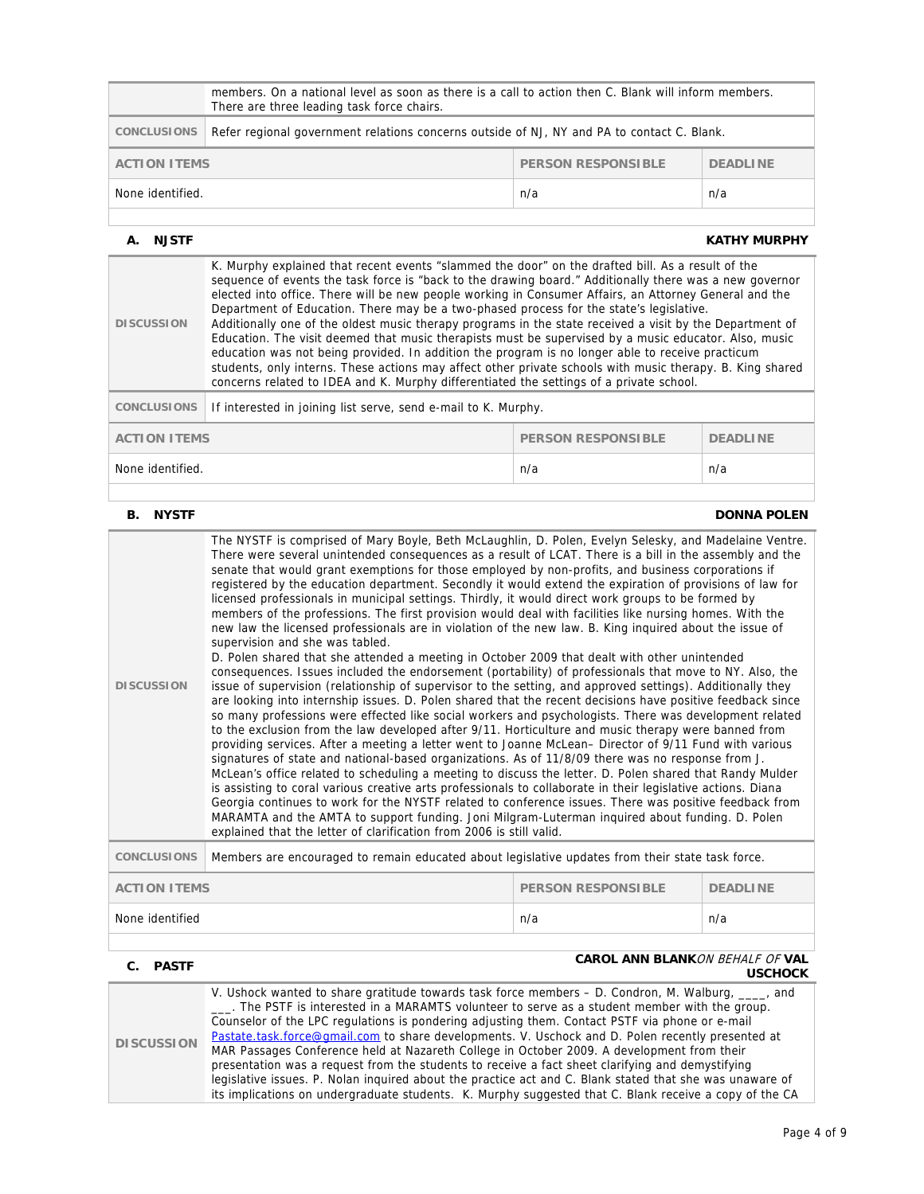| members. On a national level as soon as there is a call to action then C. Blank will inform members.<br>There are three leading task force chairs. |                                                              |     |     |
|----------------------------------------------------------------------------------------------------------------------------------------------------|--------------------------------------------------------------|-----|-----|
| Refer regional government relations concerns outside of NJ, NY and PA to contact C. Blank.<br>CONCLUSIONS                                          |                                                              |     |     |
|                                                                                                                                                    | PERSON RESPONSIBLE<br><b>DEADLINE</b><br><b>ACTION ITEMS</b> |     |     |
| None identified.                                                                                                                                   |                                                              | n/a | n/a |
|                                                                                                                                                    |                                                              |     |     |

#### **A. NJSTF KATHY MURPHY**

| <b>DISCUSSION</b>                                                   | K. Murphy explained that recent events "slammed the door" on the drafted bill. As a result of the<br>sequence of events the task force is "back to the drawing board." Additionally there was a new governor<br>elected into office. There will be new people working in Consumer Affairs, an Attorney General and the<br>Department of Education. There may be a two-phased process for the state's legislative.<br>Additionally one of the oldest music therapy programs in the state received a visit by the Department of<br>Education. The visit deemed that music therapists must be supervised by a music educator. Also, music<br>education was not being provided. In addition the program is no longer able to receive practicum<br>students, only interns. These actions may affect other private schools with music therapy. B. King shared<br>concerns related to IDEA and K. Murphy differentiated the settings of a private school. |  |  |
|---------------------------------------------------------------------|----------------------------------------------------------------------------------------------------------------------------------------------------------------------------------------------------------------------------------------------------------------------------------------------------------------------------------------------------------------------------------------------------------------------------------------------------------------------------------------------------------------------------------------------------------------------------------------------------------------------------------------------------------------------------------------------------------------------------------------------------------------------------------------------------------------------------------------------------------------------------------------------------------------------------------------------------|--|--|
| <b>CONCLUSIONS</b>                                                  | If interested in joining list serve, send e-mail to K. Murphy.                                                                                                                                                                                                                                                                                                                                                                                                                                                                                                                                                                                                                                                                                                                                                                                                                                                                                     |  |  |
| <b>ACTION ITEMS</b><br><b>PERSON RESPONSIBLE</b><br><b>DEADLINE</b> |                                                                                                                                                                                                                                                                                                                                                                                                                                                                                                                                                                                                                                                                                                                                                                                                                                                                                                                                                    |  |  |
| None identified.<br>n/a<br>n/a                                      |                                                                                                                                                                                                                                                                                                                                                                                                                                                                                                                                                                                                                                                                                                                                                                                                                                                                                                                                                    |  |  |
|                                                                     |                                                                                                                                                                                                                                                                                                                                                                                                                                                                                                                                                                                                                                                                                                                                                                                                                                                                                                                                                    |  |  |

#### **B.** NYSTF DONNA POLEN

| <b>DISCUSSION</b>                                                   | The NYSTF is comprised of Mary Boyle, Beth McLaughlin, D. Polen, Evelyn Selesky, and Madelaine Ventre.<br>There were several unintended consequences as a result of LCAT. There is a bill in the assembly and the<br>senate that would grant exemptions for those employed by non-profits, and business corporations if<br>registered by the education department. Secondly it would extend the expiration of provisions of law for<br>licensed professionals in municipal settings. Thirdly, it would direct work groups to be formed by<br>members of the professions. The first provision would deal with facilities like nursing homes. With the<br>new law the licensed professionals are in violation of the new law. B. King inquired about the issue of<br>supervision and she was tabled.<br>D. Polen shared that she attended a meeting in October 2009 that dealt with other unintended<br>consequences. Issues included the endorsement (portability) of professionals that move to NY. Also, the<br>issue of supervision (relationship of supervisor to the setting, and approved settings). Additionally they<br>are looking into internship issues. D. Polen shared that the recent decisions have positive feedback since<br>so many professions were effected like social workers and psychologists. There was development related<br>to the exclusion from the law developed after 9/11. Horticulture and music therapy were banned from<br>providing services. After a meeting a letter went to Joanne McLean- Director of 9/11 Fund with various<br>signatures of state and national-based organizations. As of 11/8/09 there was no response from J.<br>McLean's office related to scheduling a meeting to discuss the letter. D. Polen shared that Randy Mulder<br>is assisting to coral various creative arts professionals to collaborate in their legislative actions. Diana<br>Georgia continues to work for the NYSTF related to conference issues. There was positive feedback from<br>MARAMTA and the AMTA to support funding. Joni Milgram-Luterman inquired about funding. D. Polen<br>explained that the letter of clarification from 2006 is still valid. |  |  |
|---------------------------------------------------------------------|--------------------------------------------------------------------------------------------------------------------------------------------------------------------------------------------------------------------------------------------------------------------------------------------------------------------------------------------------------------------------------------------------------------------------------------------------------------------------------------------------------------------------------------------------------------------------------------------------------------------------------------------------------------------------------------------------------------------------------------------------------------------------------------------------------------------------------------------------------------------------------------------------------------------------------------------------------------------------------------------------------------------------------------------------------------------------------------------------------------------------------------------------------------------------------------------------------------------------------------------------------------------------------------------------------------------------------------------------------------------------------------------------------------------------------------------------------------------------------------------------------------------------------------------------------------------------------------------------------------------------------------------------------------------------------------------------------------------------------------------------------------------------------------------------------------------------------------------------------------------------------------------------------------------------------------------------------------------------------------------------------------------------------------------------------------------------------------------------------------------------------------------------------------------------------------------|--|--|
| <b>CONCLUSIONS</b>                                                  | Members are encouraged to remain educated about legislative updates from their state task force.                                                                                                                                                                                                                                                                                                                                                                                                                                                                                                                                                                                                                                                                                                                                                                                                                                                                                                                                                                                                                                                                                                                                                                                                                                                                                                                                                                                                                                                                                                                                                                                                                                                                                                                                                                                                                                                                                                                                                                                                                                                                                           |  |  |
| <b>ACTION ITEMS</b><br><b>PERSON RESPONSIBLE</b><br><b>DEADLINE</b> |                                                                                                                                                                                                                                                                                                                                                                                                                                                                                                                                                                                                                                                                                                                                                                                                                                                                                                                                                                                                                                                                                                                                                                                                                                                                                                                                                                                                                                                                                                                                                                                                                                                                                                                                                                                                                                                                                                                                                                                                                                                                                                                                                                                            |  |  |
| None identified                                                     | n/a<br>n/a                                                                                                                                                                                                                                                                                                                                                                                                                                                                                                                                                                                                                                                                                                                                                                                                                                                                                                                                                                                                                                                                                                                                                                                                                                                                                                                                                                                                                                                                                                                                                                                                                                                                                                                                                                                                                                                                                                                                                                                                                                                                                                                                                                                 |  |  |

#### **C. PASTF CAROL ANN BLANK**ON BEHALF OF **VAL USCHOCK DISCUSSION**  V. Ushock wanted to share gratitude towards task force members - D. Condron, M. Walburg, \_\_\_\_, and \_\_\_. The PSTF is interested in a MARAMTS volunteer to serve as a student member with the group. Counselor of the LPC regulations is pondering adjusting them. Contact PSTF via phone or e-mail Pastate.task.force@gmail.com to share developments. V. Uschock and D. Polen recently presented at MAR Passages Conference held at Nazareth College in October 2009. A development from their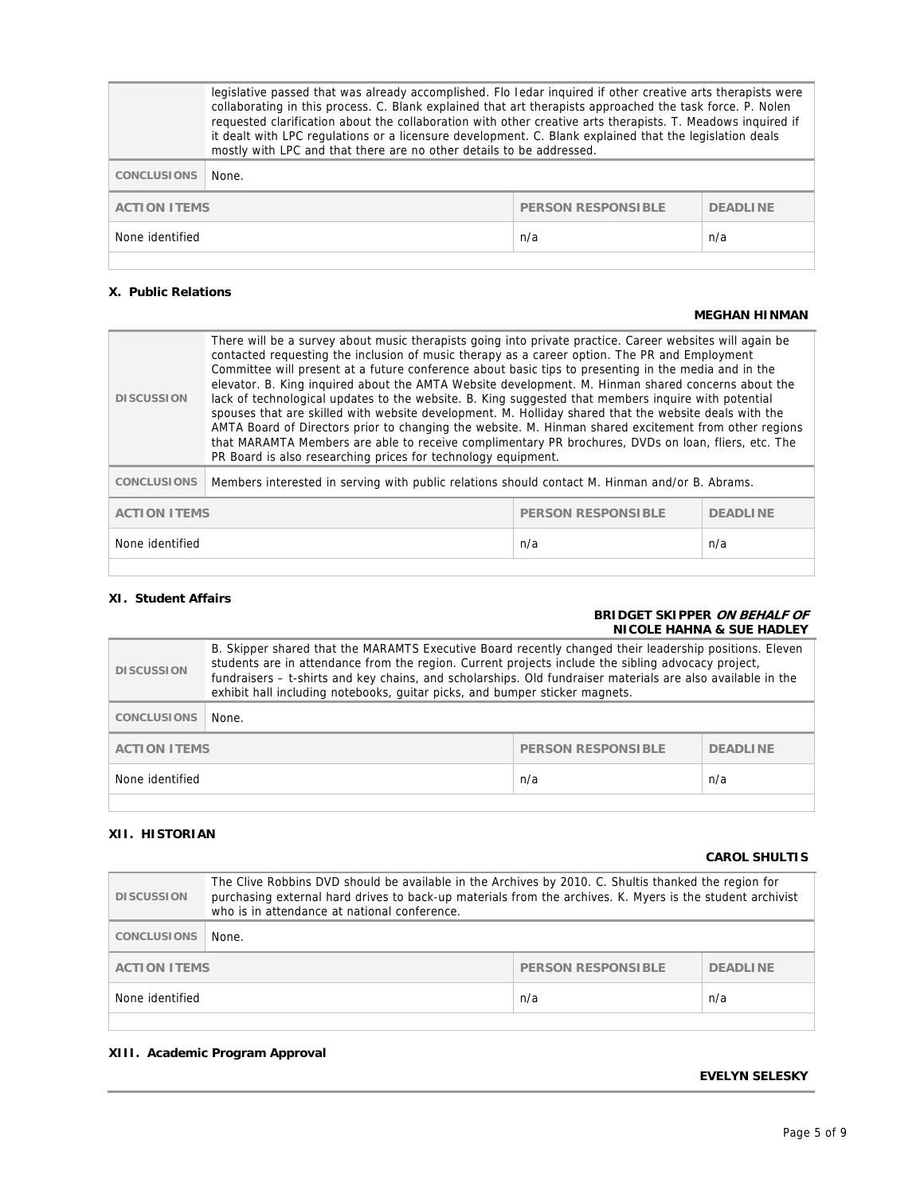|                               | legislative passed that was already accomplished. Flo ledar inquired if other creative arts therapists were<br>collaborating in this process. C. Blank explained that art therapists approached the task force. P. Nolen<br>requested clarification about the collaboration with other creative arts therapists. T. Meadows inquired if<br>it dealt with LPC regulations or a licensure development. C. Blank explained that the legislation deals<br>mostly with LPC and that there are no other details to be addressed. |  |  |
|-------------------------------|----------------------------------------------------------------------------------------------------------------------------------------------------------------------------------------------------------------------------------------------------------------------------------------------------------------------------------------------------------------------------------------------------------------------------------------------------------------------------------------------------------------------------|--|--|
| <b>CONCLUSIONS</b>            | None.                                                                                                                                                                                                                                                                                                                                                                                                                                                                                                                      |  |  |
|                               | <b>ACTION ITEMS</b><br><b>PERSON RESPONSIBLE</b><br><b>DEADLINE</b>                                                                                                                                                                                                                                                                                                                                                                                                                                                        |  |  |
| None identified<br>n/a<br>n/a |                                                                                                                                                                                                                                                                                                                                                                                                                                                                                                                            |  |  |
|                               |                                                                                                                                                                                                                                                                                                                                                                                                                                                                                                                            |  |  |

## **X. Public Relations**

#### **MEGHAN HINMAN**

| <b>DISCUSSION</b>             | There will be a survey about music therapists going into private practice. Career websites will again be<br>contacted requesting the inclusion of music therapy as a career option. The PR and Employment<br>Committee will present at a future conference about basic tips to presenting in the media and in the<br>elevator. B. King inquired about the AMTA Website development. M. Hinman shared concerns about the<br>lack of technological updates to the website. B. King suggested that members inquire with potential<br>spouses that are skilled with website development. M. Holliday shared that the website deals with the<br>AMTA Board of Directors prior to changing the website. M. Hinman shared excitement from other regions<br>that MARAMTA Members are able to receive complimentary PR brochures, DVDs on loan, fliers, etc. The<br>PR Board is also researching prices for technology equipment. |  |  |
|-------------------------------|--------------------------------------------------------------------------------------------------------------------------------------------------------------------------------------------------------------------------------------------------------------------------------------------------------------------------------------------------------------------------------------------------------------------------------------------------------------------------------------------------------------------------------------------------------------------------------------------------------------------------------------------------------------------------------------------------------------------------------------------------------------------------------------------------------------------------------------------------------------------------------------------------------------------------|--|--|
| <b>CONCLUSIONS</b>            | Members interested in serving with public relations should contact M. Hinman and/or B. Abrams.                                                                                                                                                                                                                                                                                                                                                                                                                                                                                                                                                                                                                                                                                                                                                                                                                           |  |  |
|                               | <b>ACTION ITEMS</b><br><b>PERSON RESPONSIBLE</b><br><b>DEADLINE</b>                                                                                                                                                                                                                                                                                                                                                                                                                                                                                                                                                                                                                                                                                                                                                                                                                                                      |  |  |
| None identified<br>n/a<br>n/a |                                                                                                                                                                                                                                                                                                                                                                                                                                                                                                                                                                                                                                                                                                                                                                                                                                                                                                                          |  |  |
|                               |                                                                                                                                                                                                                                                                                                                                                                                                                                                                                                                                                                                                                                                                                                                                                                                                                                                                                                                          |  |  |

## **XI. Student Affairs**

#### **BRIDGET SKIPPER ON BEHALF OF NICOLE HAHNA & SUE HADLEY**

| <b>DISCUSSION</b>             | B. Skipper shared that the MARAMTS Executive Board recently changed their leadership positions. Eleven<br>students are in attendance from the region. Current projects include the sibling advocacy project,<br>fundraisers - t-shirts and key chains, and scholarships. Old fundraiser materials are also available in the<br>exhibit hall including notebooks, guitar picks, and bumper sticker magnets. |  |  |
|-------------------------------|------------------------------------------------------------------------------------------------------------------------------------------------------------------------------------------------------------------------------------------------------------------------------------------------------------------------------------------------------------------------------------------------------------|--|--|
| <b>CONCLUSIONS</b>            | None.                                                                                                                                                                                                                                                                                                                                                                                                      |  |  |
|                               | <b>PERSON RESPONSIBLE</b><br><b>ACTION ITEMS</b><br><b>DEADLINE</b>                                                                                                                                                                                                                                                                                                                                        |  |  |
| None identified<br>n/a<br>n/a |                                                                                                                                                                                                                                                                                                                                                                                                            |  |  |

## **XII. HISTORIAN**

#### **CAROL SHULTIS**

| <b>DISCUSSION</b>                                            | The Clive Robbins DVD should be available in the Archives by 2010. C. Shultis thanked the region for<br>purchasing external hard drives to back-up materials from the archives. K. Myers is the student archivist<br>who is in attendance at national conference. |  |  |
|--------------------------------------------------------------|-------------------------------------------------------------------------------------------------------------------------------------------------------------------------------------------------------------------------------------------------------------------|--|--|
| <b>CONCLUSIONS</b>                                           | None.                                                                                                                                                                                                                                                             |  |  |
| PERSON RESPONSIBLE<br><b>ACTION ITEMS</b><br><b>DEADLINE</b> |                                                                                                                                                                                                                                                                   |  |  |
| None identified<br>n/a<br>n/a                                |                                                                                                                                                                                                                                                                   |  |  |
|                                                              |                                                                                                                                                                                                                                                                   |  |  |

### **XIII. Academic Program Approval**

#### **EVELYN SELESKY**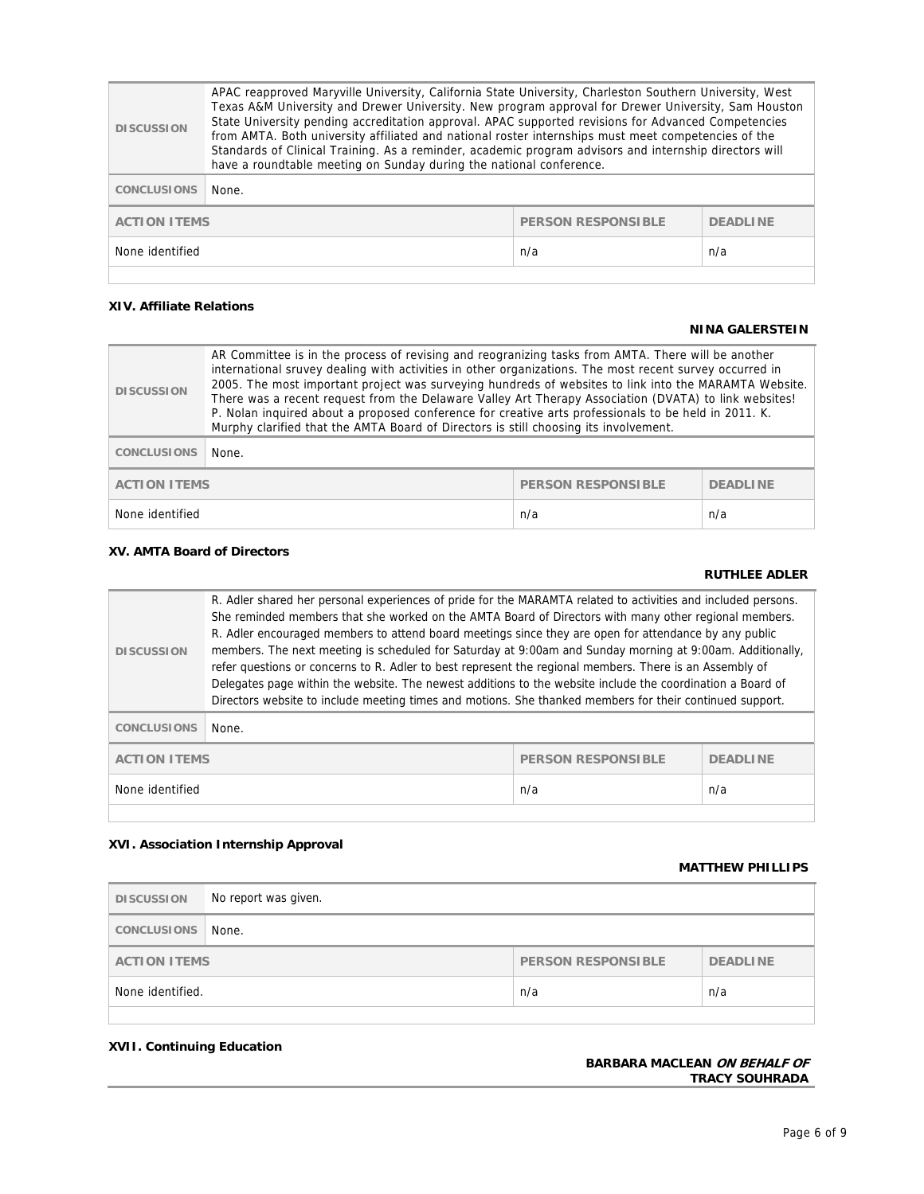| <b>DISCUSSION</b>             | APAC reapproved Maryville University, California State University, Charleston Southern University, West<br>Texas A&M University and Drewer University. New program approval for Drewer University, Sam Houston<br>State University pending accreditation approval. APAC supported revisions for Advanced Competencies<br>from AMTA. Both university affiliated and national roster internships must meet competencies of the<br>Standards of Clinical Training. As a reminder, academic program advisors and internship directors will<br>have a roundtable meeting on Sunday during the national conference. |  |  |  |
|-------------------------------|---------------------------------------------------------------------------------------------------------------------------------------------------------------------------------------------------------------------------------------------------------------------------------------------------------------------------------------------------------------------------------------------------------------------------------------------------------------------------------------------------------------------------------------------------------------------------------------------------------------|--|--|--|
| <b>CONCLUSIONS</b>            | None.                                                                                                                                                                                                                                                                                                                                                                                                                                                                                                                                                                                                         |  |  |  |
|                               | PERSON RESPONSIBLE<br><b>ACTION ITEMS</b><br><b>DEADLINE</b>                                                                                                                                                                                                                                                                                                                                                                                                                                                                                                                                                  |  |  |  |
| None identified<br>n/a<br>n/a |                                                                                                                                                                                                                                                                                                                                                                                                                                                                                                                                                                                                               |  |  |  |
|                               |                                                                                                                                                                                                                                                                                                                                                                                                                                                                                                                                                                                                               |  |  |  |

### **XIV. Affiliate Relations**

#### **NINA GALERSTEIN**

| <b>DISCUSSION</b>                                                   | AR Committee is in the process of revising and reogranizing tasks from AMTA. There will be another<br>international sruvey dealing with activities in other organizations. The most recent survey occurred in<br>2005. The most important project was surveying hundreds of websites to link into the MARAMTA Website.<br>There was a recent request from the Delaware Valley Art Therapy Association (DVATA) to link websites!<br>P. Nolan inquired about a proposed conference for creative arts professionals to be held in 2011. K.<br>Murphy clarified that the AMTA Board of Directors is still choosing its involvement. |  |  |
|---------------------------------------------------------------------|---------------------------------------------------------------------------------------------------------------------------------------------------------------------------------------------------------------------------------------------------------------------------------------------------------------------------------------------------------------------------------------------------------------------------------------------------------------------------------------------------------------------------------------------------------------------------------------------------------------------------------|--|--|
| <b>CONCLUSIONS</b>                                                  | None.                                                                                                                                                                                                                                                                                                                                                                                                                                                                                                                                                                                                                           |  |  |
| <b>PERSON RESPONSIBLE</b><br><b>ACTION ITEMS</b><br><b>DEADLINE</b> |                                                                                                                                                                                                                                                                                                                                                                                                                                                                                                                                                                                                                                 |  |  |
| None identified<br>n/a<br>n/a                                       |                                                                                                                                                                                                                                                                                                                                                                                                                                                                                                                                                                                                                                 |  |  |

## **XV. AMTA Board of Directors**

## **RUTHLEE ADLER**

| <b>DISCUSSION</b>  | R. Adler shared her personal experiences of pride for the MARAMTA related to activities and included persons.<br>She reminded members that she worked on the AMTA Board of Directors with many other regional members.<br>R. Adler encouraged members to attend board meetings since they are open for attendance by any public<br>members. The next meeting is scheduled for Saturday at 9:00am and Sunday morning at 9:00am. Additionally,<br>refer questions or concerns to R. Adler to best represent the regional members. There is an Assembly of<br>Delegates page within the website. The newest additions to the website include the coordination a Board of<br>Directors website to include meeting times and motions. She thanked members for their continued support. |     |     |
|--------------------|-----------------------------------------------------------------------------------------------------------------------------------------------------------------------------------------------------------------------------------------------------------------------------------------------------------------------------------------------------------------------------------------------------------------------------------------------------------------------------------------------------------------------------------------------------------------------------------------------------------------------------------------------------------------------------------------------------------------------------------------------------------------------------------|-----|-----|
| <b>CONCLUSIONS</b> | None.                                                                                                                                                                                                                                                                                                                                                                                                                                                                                                                                                                                                                                                                                                                                                                             |     |     |
|                    | <b>ACTION ITEMS</b><br><b>PERSON RESPONSIBLE</b><br><b>DEADLINE</b>                                                                                                                                                                                                                                                                                                                                                                                                                                                                                                                                                                                                                                                                                                               |     |     |
| None identified    |                                                                                                                                                                                                                                                                                                                                                                                                                                                                                                                                                                                                                                                                                                                                                                                   | n/a | n/a |

## **XVI. Association Internship Approval**

#### **MATTHEW PHILLIPS**

| <b>DISCUSSION</b>              | No report was given.                                                |  |  |
|--------------------------------|---------------------------------------------------------------------|--|--|
| CONCLUSIONS                    | None.                                                               |  |  |
|                                | <b>PERSON RESPONSIBLE</b><br><b>DEADLINE</b><br><b>ACTION ITEMS</b> |  |  |
| None identified.<br>n/a<br>n/a |                                                                     |  |  |
|                                |                                                                     |  |  |

## **XVII. Continuing Education**

#### **BARBARA MACLEAN ON BEHALF OF TRACY SOUHRADA**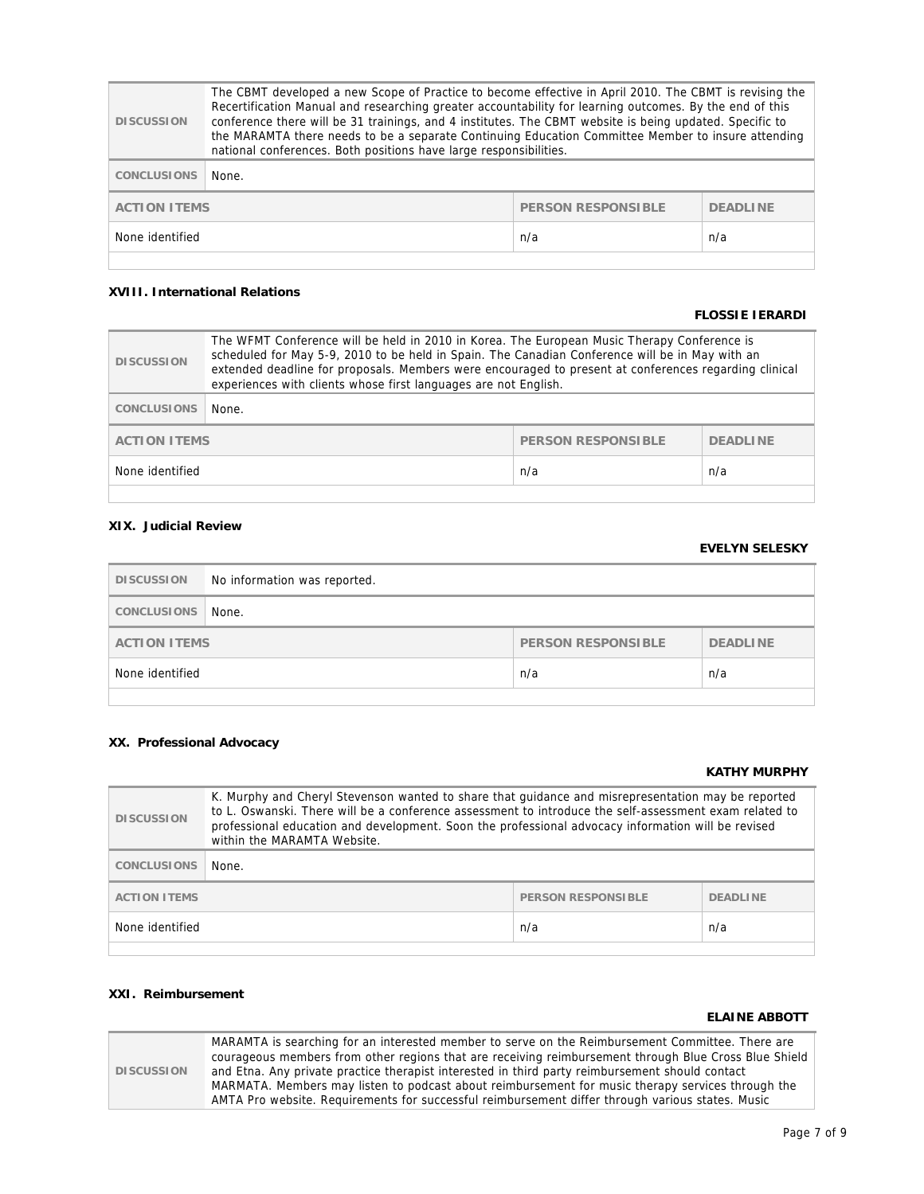| <b>DISCUSSION</b>                                                   | The CBMT developed a new Scope of Practice to become effective in April 2010. The CBMT is revising the<br>Recertification Manual and researching greater accountability for learning outcomes. By the end of this<br>conference there will be 31 trainings, and 4 institutes. The CBMT website is being updated. Specific to<br>the MARAMTA there needs to be a separate Continuing Education Committee Member to insure attending<br>national conferences. Both positions have large responsibilities. |  |  |  |
|---------------------------------------------------------------------|---------------------------------------------------------------------------------------------------------------------------------------------------------------------------------------------------------------------------------------------------------------------------------------------------------------------------------------------------------------------------------------------------------------------------------------------------------------------------------------------------------|--|--|--|
| <b>CONCLUSIONS</b>                                                  | None.                                                                                                                                                                                                                                                                                                                                                                                                                                                                                                   |  |  |  |
| <b>PERSON RESPONSIBLE</b><br><b>ACTION ITEMS</b><br><b>DEADLINE</b> |                                                                                                                                                                                                                                                                                                                                                                                                                                                                                                         |  |  |  |
| None identified<br>n/a<br>n/a                                       |                                                                                                                                                                                                                                                                                                                                                                                                                                                                                                         |  |  |  |
|                                                                     |                                                                                                                                                                                                                                                                                                                                                                                                                                                                                                         |  |  |  |

## **XVIII. International Relations**

#### **FLOSSIE IERARDI**

| <b>DISCUSSION</b>                                                   | The WFMT Conference will be held in 2010 in Korea. The European Music Therapy Conference is<br>scheduled for May 5-9, 2010 to be held in Spain. The Canadian Conference will be in May with an<br>extended deadline for proposals. Members were encouraged to present at conferences regarding clinical<br>experiences with clients whose first languages are not English. |  |  |  |
|---------------------------------------------------------------------|----------------------------------------------------------------------------------------------------------------------------------------------------------------------------------------------------------------------------------------------------------------------------------------------------------------------------------------------------------------------------|--|--|--|
| <b>CONCLUSIONS</b>                                                  | None.                                                                                                                                                                                                                                                                                                                                                                      |  |  |  |
| <b>PERSON RESPONSIBLE</b><br><b>ACTION ITEMS</b><br><b>DEADLINE</b> |                                                                                                                                                                                                                                                                                                                                                                            |  |  |  |
| None identified<br>n/a<br>n/a                                       |                                                                                                                                                                                                                                                                                                                                                                            |  |  |  |
|                                                                     |                                                                                                                                                                                                                                                                                                                                                                            |  |  |  |

## **XIX. Judicial Review**

## **EVELYN SELESKY**

| <b>DISCUSSION</b>                                            | No information was reported. |  |  |
|--------------------------------------------------------------|------------------------------|--|--|
| CONCLUSIONS                                                  | None.                        |  |  |
| PERSON RESPONSIBLE<br><b>DEADLINE</b><br><b>ACTION ITEMS</b> |                              |  |  |
| None identified<br>n/a<br>n/a                                |                              |  |  |
|                                                              |                              |  |  |

### **XX. Professional Advocacy**

### **KATHY MURPHY**

| <b>DISCUSSION</b>                                                   | K. Murphy and Cheryl Stevenson wanted to share that guidance and misrepresentation may be reported<br>to L. Oswanski. There will be a conference assessment to introduce the self-assessment exam related to<br>professional education and development. Soon the professional advocacy information will be revised<br>within the MARAMTA Website. |  |  |
|---------------------------------------------------------------------|---------------------------------------------------------------------------------------------------------------------------------------------------------------------------------------------------------------------------------------------------------------------------------------------------------------------------------------------------|--|--|
| <b>CONCLUSIONS</b>                                                  | None.                                                                                                                                                                                                                                                                                                                                             |  |  |
| <b>ACTION ITEMS</b><br><b>PERSON RESPONSIBLE</b><br><b>DEADLINE</b> |                                                                                                                                                                                                                                                                                                                                                   |  |  |
| n/a<br>None identified<br>n/a                                       |                                                                                                                                                                                                                                                                                                                                                   |  |  |
|                                                                     |                                                                                                                                                                                                                                                                                                                                                   |  |  |

## **XXI. Reimbursement**

#### **ELAINE ABBOTT**

|                   | MARAMTA is searching for an interested member to serve on the Reimbursement Committee. There are      |
|-------------------|-------------------------------------------------------------------------------------------------------|
|                   | courageous members from other regions that are receiving reimbursement through Blue Cross Blue Shield |
| <b>DISCUSSION</b> | and Etna. Any private practice therapist interested in third party reimbursement should contact       |
|                   | MARMATA. Members may listen to podcast about reimbursement for music therapy services through the     |
|                   | AMTA Pro website. Requirements for successful reimbursement differ through various states. Music      |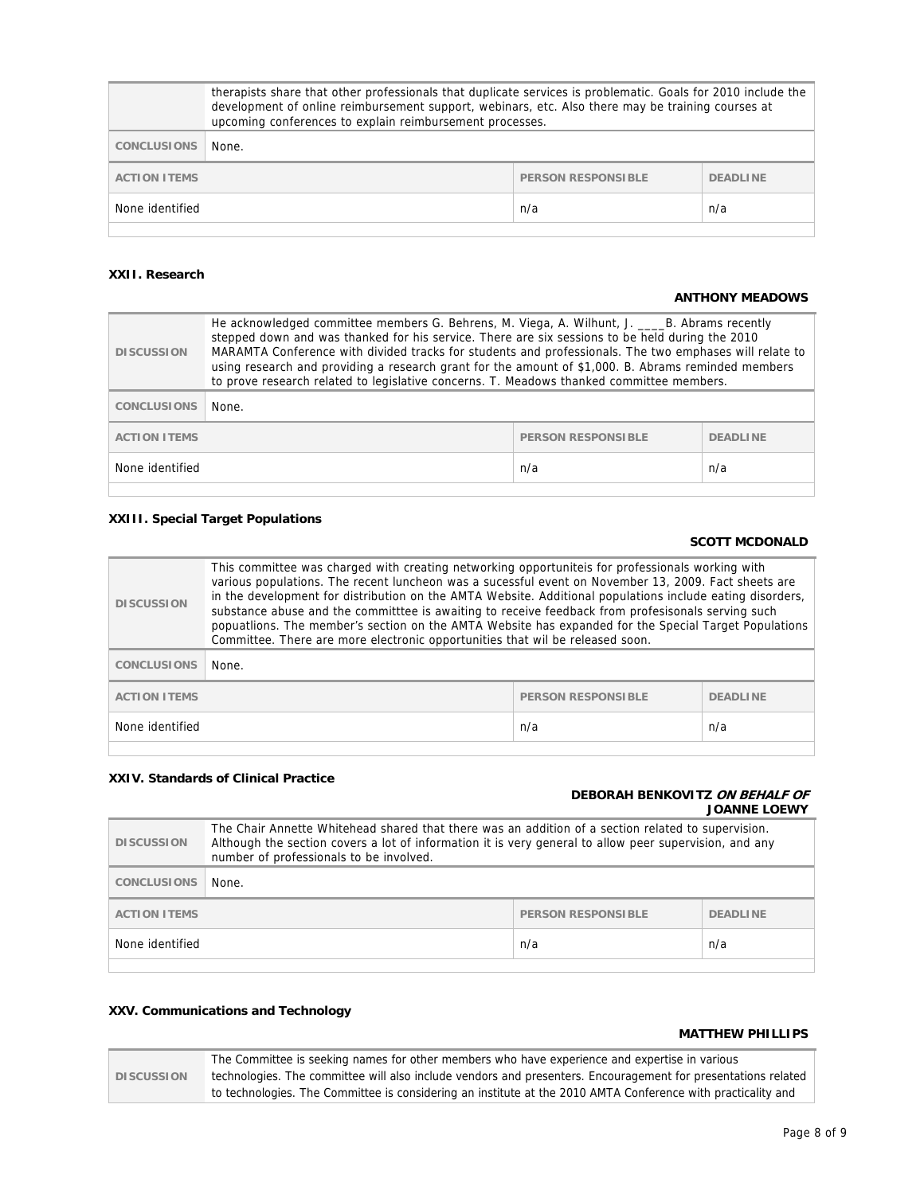|                                                                     | therapists share that other professionals that duplicate services is problematic. Goals for 2010 include the<br>development of online reimbursement support, webinars, etc. Also there may be training courses at<br>upcoming conferences to explain reimbursement processes. |  |  |  |
|---------------------------------------------------------------------|-------------------------------------------------------------------------------------------------------------------------------------------------------------------------------------------------------------------------------------------------------------------------------|--|--|--|
| <b>CONCLUSIONS</b>                                                  | None.                                                                                                                                                                                                                                                                         |  |  |  |
| <b>PERSON RESPONSIBLE</b><br><b>ACTION ITEMS</b><br><b>DEADLINE</b> |                                                                                                                                                                                                                                                                               |  |  |  |
| None identified<br>n/a<br>n/a                                       |                                                                                                                                                                                                                                                                               |  |  |  |
|                                                                     |                                                                                                                                                                                                                                                                               |  |  |  |

### **XXII. Research**

#### **ANTHONY MEADOWS**

| <b>DISCUSSION</b>                                                   | He acknowledged committee members G. Behrens, M. Viega, A. Wilhunt, J. ____B. Abrams recently<br>stepped down and was thanked for his service. There are six sessions to be held during the 2010<br>MARAMTA Conference with divided tracks for students and professionals. The two emphases will relate to<br>using research and providing a research grant for the amount of \$1,000. B. Abrams reminded members<br>to prove research related to legislative concerns. T. Meadows thanked committee members. |  |  |
|---------------------------------------------------------------------|---------------------------------------------------------------------------------------------------------------------------------------------------------------------------------------------------------------------------------------------------------------------------------------------------------------------------------------------------------------------------------------------------------------------------------------------------------------------------------------------------------------|--|--|
| <b>CONCLUSIONS</b>                                                  | None.                                                                                                                                                                                                                                                                                                                                                                                                                                                                                                         |  |  |
| <b>ACTION ITEMS</b><br><b>DEADLINE</b><br><b>PERSON RESPONSIBLE</b> |                                                                                                                                                                                                                                                                                                                                                                                                                                                                                                               |  |  |
| None identified<br>n/a<br>n/a                                       |                                                                                                                                                                                                                                                                                                                                                                                                                                                                                                               |  |  |

## **XXIII. Special Target Populations**

### **SCOTT MCDONALD**

| <b>DISCUSSION</b>                                                   | This committee was charged with creating networking opportunitels for professionals working with<br>various populations. The recent luncheon was a sucessful event on November 13, 2009. Fact sheets are<br>in the development for distribution on the AMTA Website. Additional populations include eating disorders,<br>substance abuse and the committtee is awaiting to receive feedback from profesisonals serving such<br>popuatlions. The member's section on the AMTA Website has expanded for the Special Target Populations<br>Committee. There are more electronic opportunities that wil be released soon. |  |  |
|---------------------------------------------------------------------|-----------------------------------------------------------------------------------------------------------------------------------------------------------------------------------------------------------------------------------------------------------------------------------------------------------------------------------------------------------------------------------------------------------------------------------------------------------------------------------------------------------------------------------------------------------------------------------------------------------------------|--|--|
| <b>CONCLUSIONS</b>                                                  | None.                                                                                                                                                                                                                                                                                                                                                                                                                                                                                                                                                                                                                 |  |  |
| <b>PERSON RESPONSIBLE</b><br><b>ACTION ITEMS</b><br><b>DEADLINE</b> |                                                                                                                                                                                                                                                                                                                                                                                                                                                                                                                                                                                                                       |  |  |
| None identified<br>n/a<br>n/a                                       |                                                                                                                                                                                                                                                                                                                                                                                                                                                                                                                                                                                                                       |  |  |

## **XXIV. Standards of Clinical Practice**

## **DEBORAH BENKOVITZ ON BEHALF OF JOANNE LOEWY**

| <b>DISCUSSION</b>                                                   | The Chair Annette Whitehead shared that there was an addition of a section related to supervision.<br>Although the section covers a lot of information it is very general to allow peer supervision, and any<br>number of professionals to be involved. |  |  |
|---------------------------------------------------------------------|---------------------------------------------------------------------------------------------------------------------------------------------------------------------------------------------------------------------------------------------------------|--|--|
| <b>CONCLUSIONS</b>                                                  | None.                                                                                                                                                                                                                                                   |  |  |
| <b>PERSON RESPONSIBLE</b><br><b>ACTION ITEMS</b><br><b>DEADLINE</b> |                                                                                                                                                                                                                                                         |  |  |
| n/a<br>n/a<br>None identified                                       |                                                                                                                                                                                                                                                         |  |  |
|                                                                     |                                                                                                                                                                                                                                                         |  |  |

## **XXV. Communications and Technology**

#### **MATTHEW PHILLIPS**

|                   | The Committee is seeking names for other members who have experience and expertise in various                 |  |  |
|-------------------|---------------------------------------------------------------------------------------------------------------|--|--|
| <b>DISCUSSION</b> | technologies. The committee will also include vendors and presenters. Encouragement for presentations related |  |  |
|                   | to technologies. The Committee is considering an institute at the 2010 AMTA Conference with practicality and  |  |  |